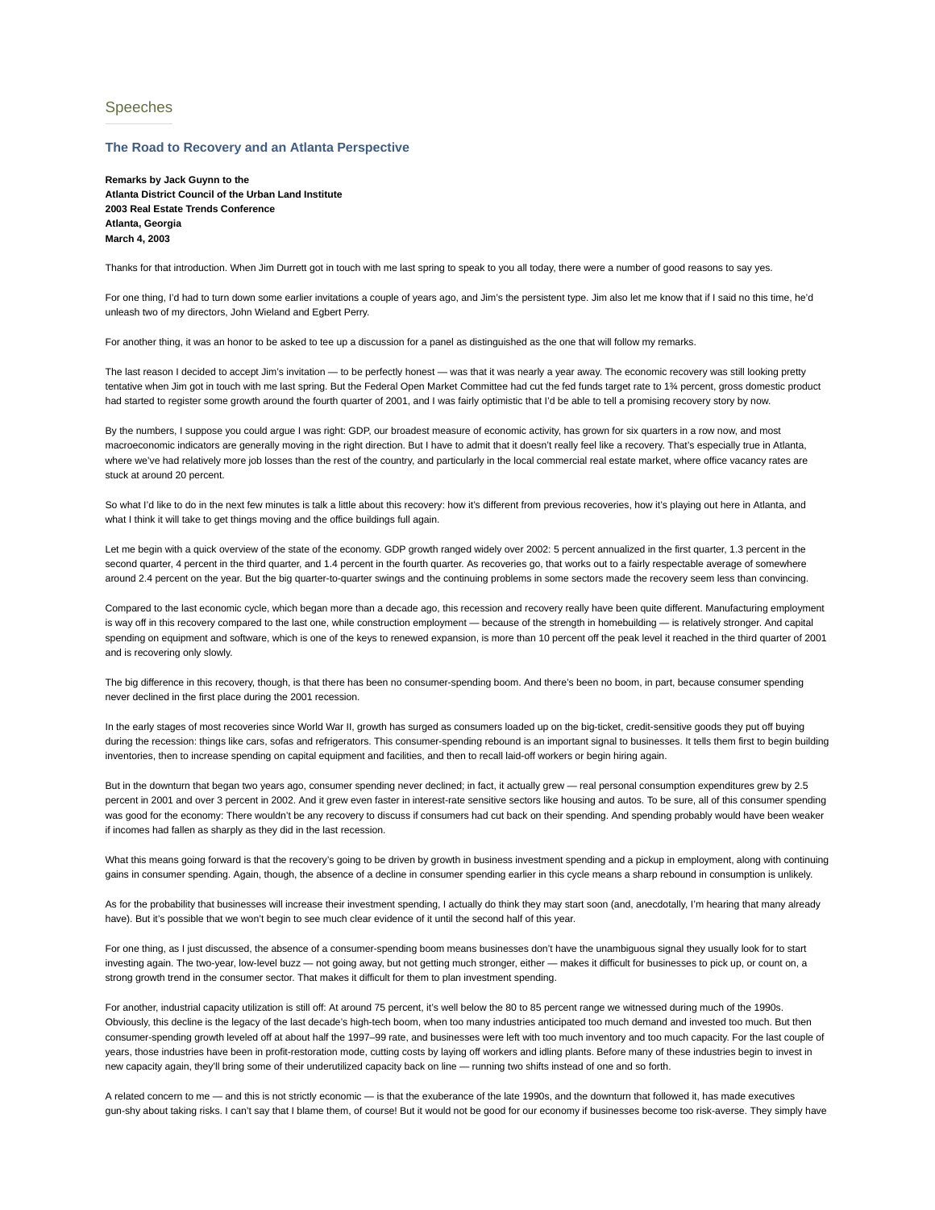## Speeches

## **The Road to Recovery and an Atlanta Perspective**

**Remarks by Jack Guynn to the Atlanta District Council of the Urban Land Institute 2003 Real Estate Trends Conference Atlanta, Georgia March 4, 2003**

Thanks for that introduction. When Jim Durrett got in touch with me last spring to speak to you all today, there were a number of good reasons to say yes.

For one thing, I'd had to turn down some earlier invitations a couple of years ago, and Jim's the persistent type. Jim also let me know that if I said no this time, he'd unleash two of my directors, John Wieland and Egbert Perry.

For another thing, it was an honor to be asked to tee up a discussion for a panel as distinguished as the one that will follow my remarks.

The last reason I decided to accept Jim's invitation — to be perfectly honest — was that it was nearly a year away. The economic recovery was still looking pretty tentative when Jim got in touch with me last spring. But the Federal Open Market Committee had cut the fed funds target rate to 1¾ percent, gross domestic product had started to register some growth around the fourth quarter of 2001, and I was fairly optimistic that I'd be able to tell a promising recovery story by now.

By the numbers, I suppose you could argue I was right: GDP, our broadest measure of economic activity, has grown for six quarters in a row now, and most macroeconomic indicators are generally moving in the right direction. But I have to admit that it doesn't really feel like a recovery. That's especially true in Atlanta, where we've had relatively more job losses than the rest of the country, and particularly in the local commercial real estate market, where office vacancy rates are stuck at around 20 percent.

So what I'd like to do in the next few minutes is talk a little about this recovery: how it's different from previous recoveries, how it's playing out here in Atlanta, and what I think it will take to get things moving and the office buildings full again.

Let me begin with a quick overview of the state of the economy. GDP growth ranged widely over 2002: 5 percent annualized in the first quarter, 1.3 percent in the second quarter, 4 percent in the third quarter, and 1.4 percent in the fourth quarter. As recoveries go, that works out to a fairly respectable average of somewhere around 2.4 percent on the year. But the big quarter-to-quarter swings and the continuing problems in some sectors made the recovery seem less than convincing.

Compared to the last economic cycle, which began more than a decade ago, this recession and recovery really have been quite different. Manufacturing employment is way off in this recovery compared to the last one, while construction employment — because of the strength in homebuilding — is relatively stronger. And capital spending on equipment and software, which is one of the keys to renewed expansion, is more than 10 percent off the peak level it reached in the third quarter of 2001 and is recovering only slowly.

The big difference in this recovery, though, is that there has been no consumer-spending boom. And there's been no boom, in part, because consumer spending never declined in the first place during the 2001 recession.

In the early stages of most recoveries since World War II, growth has surged as consumers loaded up on the big-ticket, credit-sensitive goods they put off buying during the recession: things like cars, sofas and refrigerators. This consumer-spending rebound is an important signal to businesses. It tells them first to begin building inventories, then to increase spending on capital equipment and facilities, and then to recall laid-off workers or begin hiring again.

But in the downturn that began two years ago, consumer spending never declined; in fact, it actually grew — real personal consumption expenditures grew by 2.5 percent in 2001 and over 3 percent in 2002. And it grew even faster in interest-rate sensitive sectors like housing and autos. To be sure, all of this consumer spending was good for the economy: There wouldn't be any recovery to discuss if consumers had cut back on their spending. And spending probably would have been weaker if incomes had fallen as sharply as they did in the last recession.

What this means going forward is that the recovery's going to be driven by growth in business investment spending and a pickup in employment, along with continuing gains in consumer spending. Again, though, the absence of a decline in consumer spending earlier in this cycle means a sharp rebound in consumption is unlikely.

As for the probability that businesses will increase their investment spending, I actually do think they may start soon (and, anecdotally, I'm hearing that many already have). But it's possible that we won't begin to see much clear evidence of it until the second half of this year.

For one thing, as I just discussed, the absence of a consumer-spending boom means businesses don't have the unambiguous signal they usually look for to start investing again. The two-year, low-level buzz — not going away, but not getting much stronger, either — makes it difficult for businesses to pick up, or count on, a strong growth trend in the consumer sector. That makes it difficult for them to plan investment spending.

For another, industrial capacity utilization is still off: At around 75 percent, it's well below the 80 to 85 percent range we witnessed during much of the 1990s. Obviously, this decline is the legacy of the last decade's high-tech boom, when too many industries anticipated too much demand and invested too much. But then consumer-spending growth leveled off at about half the 1997–99 rate, and businesses were left with too much inventory and too much capacity. For the last couple of years, those industries have been in profit-restoration mode, cutting costs by laying off workers and idling plants. Before many of these industries begin to invest in new capacity again, they'll bring some of their underutilized capacity back on line — running two shifts instead of one and so forth.

A related concern to me — and this is not strictly economic — is that the exuberance of the late 1990s, and the downturn that followed it, has made executives gun-shy about taking risks. I can't say that I blame them, of course! But it would not be good for our economy if businesses become too risk-averse. They simply have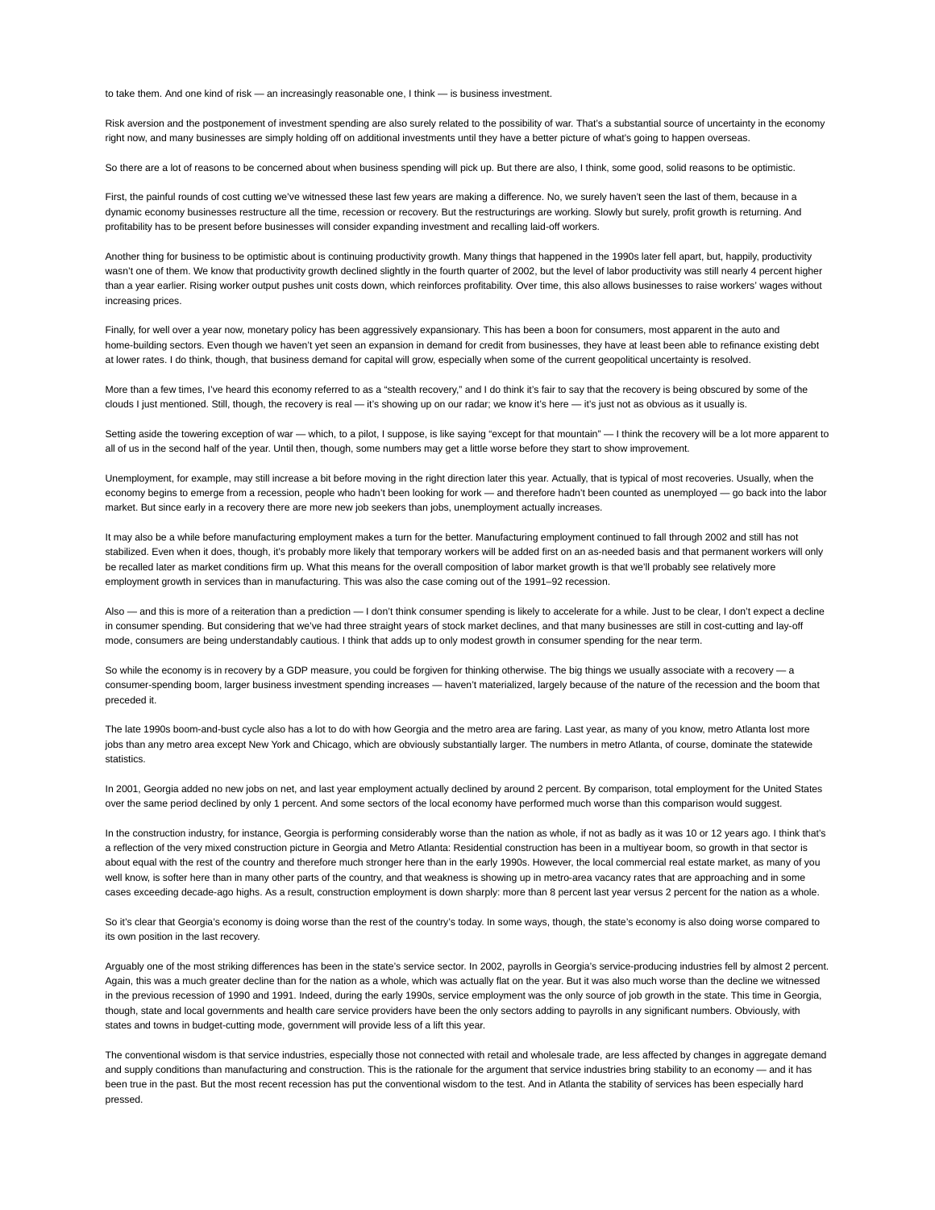to take them. And one kind of risk — an increasingly reasonable one, I think — is business investment.

Risk aversion and the postponement of investment spending are also surely related to the possibility of war. That's a substantial source of uncertainty in the economy right now, and many businesses are simply holding off on additional investments until they have a better picture of what's going to happen overseas.

So there are a lot of reasons to be concerned about when business spending will pick up. But there are also, I think, some good, solid reasons to be optimistic.

First, the painful rounds of cost cutting we've witnessed these last few years are making a difference. No, we surely haven't seen the last of them, because in a dynamic economy businesses restructure all the time, recession or recovery. But the restructurings are working. Slowly but surely, profit growth is returning. And profitability has to be present before businesses will consider expanding investment and recalling laid-off workers.

Another thing for business to be optimistic about is continuing productivity growth. Many things that happened in the 1990s later fell apart, but, happily, productivity wasn't one of them. We know that productivity growth declined slightly in the fourth quarter of 2002, but the level of labor productivity was still nearly 4 percent higher than a year earlier. Rising worker output pushes unit costs down, which reinforces profitability. Over time, this also allows businesses to raise workers' wages without increasing prices.

Finally, for well over a year now, monetary policy has been aggressively expansionary. This has been a boon for consumers, most apparent in the auto and home-building sectors. Even though we haven't yet seen an expansion in demand for credit from businesses, they have at least been able to refinance existing debt at lower rates. I do think, though, that business demand for capital will grow, especially when some of the current geopolitical uncertainty is resolved.

More than a few times, I've heard this economy referred to as a "stealth recovery," and I do think it's fair to say that the recovery is being obscured by some of the clouds I just mentioned. Still, though, the recovery is real — it's showing up on our radar; we know it's here — it's just not as obvious as it usually is.

Setting aside the towering exception of war — which, to a pilot, I suppose, is like saying "except for that mountain" — I think the recovery will be a lot more apparent to all of us in the second half of the year. Until then, though, some numbers may get a little worse before they start to show improvement.

Unemployment, for example, may still increase a bit before moving in the right direction later this year. Actually, that is typical of most recoveries. Usually, when the economy begins to emerge from a recession, people who hadn't been looking for work — and therefore hadn't been counted as unemployed — go back into the labor market. But since early in a recovery there are more new job seekers than jobs, unemployment actually increases.

It may also be a while before manufacturing employment makes a turn for the better. Manufacturing employment continued to fall through 2002 and still has not stabilized. Even when it does, though, it's probably more likely that temporary workers will be added first on an as-needed basis and that permanent workers will only be recalled later as market conditions firm up. What this means for the overall composition of labor market growth is that we'll probably see relatively more employment growth in services than in manufacturing. This was also the case coming out of the 1991–92 recession.

Also — and this is more of a reiteration than a prediction — I don't think consumer spending is likely to accelerate for a while. Just to be clear, I don't expect a decline in consumer spending. But considering that we've had three straight years of stock market declines, and that many businesses are still in cost-cutting and lay-off mode, consumers are being understandably cautious. I think that adds up to only modest growth in consumer spending for the near term.

So while the economy is in recovery by a GDP measure, you could be forgiven for thinking otherwise. The big things we usually associate with a recovery - a consumer-spending boom, larger business investment spending increases — haven't materialized, largely because of the nature of the recession and the boom that preceded it.

The late 1990s boom-and-bust cycle also has a lot to do with how Georgia and the metro area are faring. Last year, as many of you know, metro Atlanta lost more jobs than any metro area except New York and Chicago, which are obviously substantially larger. The numbers in metro Atlanta, of course, dominate the statewide statistics.

In 2001, Georgia added no new jobs on net, and last year employment actually declined by around 2 percent. By comparison, total employment for the United States over the same period declined by only 1 percent. And some sectors of the local economy have performed much worse than this comparison would suggest.

In the construction industry, for instance, Georgia is performing considerably worse than the nation as whole, if not as badly as it was 10 or 12 years ago. I think that's a reflection of the very mixed construction picture in Georgia and Metro Atlanta: Residential construction has been in a multiyear boom, so growth in that sector is about equal with the rest of the country and therefore much stronger here than in the early 1990s. However, the local commercial real estate market, as many of you well know, is softer here than in many other parts of the country, and that weakness is showing up in metro-area vacancy rates that are approaching and in some cases exceeding decade-ago highs. As a result, construction employment is down sharply: more than 8 percent last year versus 2 percent for the nation as a whole.

So it's clear that Georgia's economy is doing worse than the rest of the country's today. In some ways, though, the state's economy is also doing worse compared to its own position in the last recovery.

Arguably one of the most striking differences has been in the state's service sector. In 2002, payrolls in Georgia's service-producing industries fell by almost 2 percent. Again, this was a much greater decline than for the nation as a whole, which was actually flat on the year. But it was also much worse than the decline we witnessed in the previous recession of 1990 and 1991. Indeed, during the early 1990s, service employment was the only source of job growth in the state. This time in Georgia, though, state and local governments and health care service providers have been the only sectors adding to payrolls in any significant numbers. Obviously, with states and towns in budget-cutting mode, government will provide less of a lift this year.

The conventional wisdom is that service industries, especially those not connected with retail and wholesale trade, are less affected by changes in aggregate demand and supply conditions than manufacturing and construction. This is the rationale for the argument that service industries bring stability to an economy — and it has been true in the past. But the most recent recession has put the conventional wisdom to the test. And in Atlanta the stability of services has been especially hard pressed.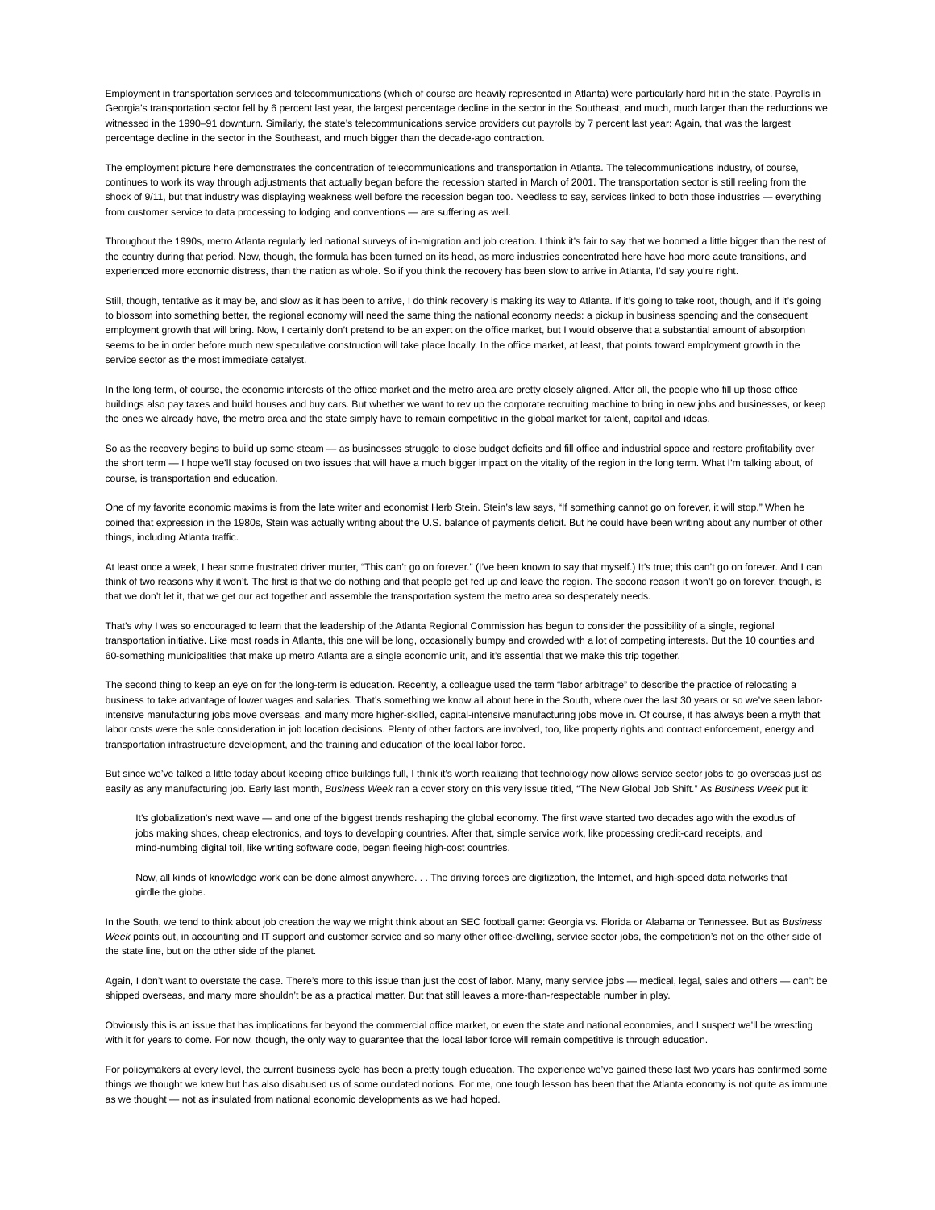Employment in transportation services and telecommunications (which of course are heavily represented in Atlanta) were particularly hard hit in the state. Payrolls in Georgia's transportation sector fell by 6 percent last year, the largest percentage decline in the sector in the Southeast, and much, much larger than the reductions we witnessed in the 1990–91 downturn. Similarly, the state's telecommunications service providers cut payrolls by 7 percent last year: Again, that was the largest percentage decline in the sector in the Southeast, and much bigger than the decade-ago contraction.

The employment picture here demonstrates the concentration of telecommunications and transportation in Atlanta. The telecommunications industry, of course, continues to work its way through adjustments that actually began before the recession started in March of 2001. The transportation sector is still reeling from the shock of 9/11, but that industry was displaying weakness well before the recession began too. Needless to say, services linked to both those industries — everything from customer service to data processing to lodging and conventions — are suffering as well.

Throughout the 1990s, metro Atlanta regularly led national surveys of in-migration and job creation. I think it's fair to say that we boomed a little bigger than the rest of the country during that period. Now, though, the formula has been turned on its head, as more industries concentrated here have had more acute transitions, and experienced more economic distress, than the nation as whole. So if you think the recovery has been slow to arrive in Atlanta, I'd say you're right.

Still, though, tentative as it may be, and slow as it has been to arrive, I do think recovery is making its way to Atlanta. If it's going to take root, though, and if it's going to blossom into something better, the regional economy will need the same thing the national economy needs: a pickup in business spending and the consequent employment growth that will bring. Now, I certainly don't pretend to be an expert on the office market, but I would observe that a substantial amount of absorption seems to be in order before much new speculative construction will take place locally. In the office market, at least, that points toward employment growth in the service sector as the most immediate catalyst.

In the long term, of course, the economic interests of the office market and the metro area are pretty closely aligned. After all, the people who fill up those office buildings also pay taxes and build houses and buy cars. But whether we want to rev up the corporate recruiting machine to bring in new jobs and businesses, or keep the ones we already have, the metro area and the state simply have to remain competitive in the global market for talent, capital and ideas.

So as the recovery begins to build up some steam - as businesses struggle to close budget deficits and fill office and industrial space and restore profitability over the short term - I hope we'll stay focused on two issues that will have a much bigger impact on the vitality of the region in the long term. What I'm talking about, of course, is transportation and education.

One of my favorite economic maxims is from the late writer and economist Herb Stein. Stein's law says, "If something cannot go on forever, it will stop." When he coined that expression in the 1980s, Stein was actually writing about the U.S. balance of payments deficit. But he could have been writing about any number of other things, including Atlanta traffic.

At least once a week, I hear some frustrated driver mutter, "This can't go on forever." (I've been known to say that myself.) It's true; this can't go on forever. And I can think of two reasons why it won't. The first is that we do nothing and that people get fed up and leave the region. The second reason it won't go on forever, though, is that we don't let it, that we get our act together and assemble the transportation system the metro area so desperately needs.

That's why I was so encouraged to learn that the leadership of the Atlanta Regional Commission has begun to consider the possibility of a single, regional transportation initiative. Like most roads in Atlanta, this one will be long, occasionally bumpy and crowded with a lot of competing interests. But the 10 counties and 60-something municipalities that make up metro Atlanta are a single economic unit, and it's essential that we make this trip together.

The second thing to keep an eye on for the long-term is education. Recently, a colleague used the term "labor arbitrage" to describe the practice of relocating a business to take advantage of lower wages and salaries. That's something we know all about here in the South, where over the last 30 years or so we've seen laborintensive manufacturing jobs move overseas, and many more higher-skilled, capital-intensive manufacturing jobs move in. Of course, it has always been a myth that labor costs were the sole consideration in job location decisions. Plenty of other factors are involved, too, like property rights and contract enforcement, energy and transportation infrastructure development, and the training and education of the local labor force.

But since we've talked a little today about keeping office buildings full, I think it's worth realizing that technology now allows service sector jobs to go overseas just as easily as any manufacturing job. Early last month, *Business Week* ran a cover story on this very issue titled, "The New Global Job Shift." As *Business Week* put it:

It's globalization's next wave — and one of the biggest trends reshaping the global economy. The first wave started two decades ago with the exodus of jobs making shoes, cheap electronics, and toys to developing countries. After that, simple service work, like processing credit-card receipts, and mind-numbing digital toil, like writing software code, began fleeing high-cost countries.

Now, all kinds of knowledge work can be done almost anywhere. . . The driving forces are digitization, the Internet, and high-speed data networks that girdle the globe.

In the South, we tend to think about job creation the way we might think about an SEC football game: Georgia vs. Florida or Alabama or Tennessee. But as *Business Week* points out, in accounting and IT support and customer service and so many other office-dwelling, service sector jobs, the competition's not on the other side of the state line, but on the other side of the planet.

Again, I don't want to overstate the case. There's more to this issue than just the cost of labor. Many, many service jobs — medical, legal, sales and others — can't be shipped overseas, and many more shouldn't be as a practical matter. But that still leaves a more-than-respectable number in play.

Obviously this is an issue that has implications far beyond the commercial office market, or even the state and national economies, and I suspect we'll be wrestling with it for years to come. For now, though, the only way to guarantee that the local labor force will remain competitive is through education.

For policymakers at every level, the current business cycle has been a pretty tough education. The experience we've gained these last two years has confirmed some things we thought we knew but has also disabused us of some outdated notions. For me, one tough lesson has been that the Atlanta economy is not quite as immune as we thought — not as insulated from national economic developments as we had hoped.